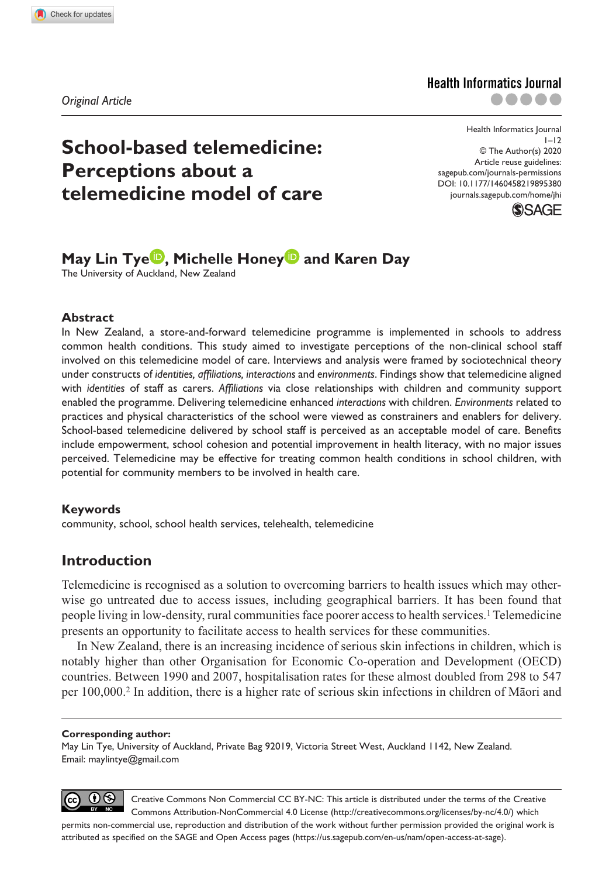*Original Article*

# **Health Informatics Journal** .....



# **School-based telemedicine: Perceptions about a telemedicine model of care**

DOI: 10.1177/1460458219895380 © The Author(s) 2020 Article reuse guidelines: [sagepub.com/journals-permissions](https://uk.sagepub.com/en-gb/journals-permissions) [journals.sagepub.com/home/jhi](https://journals.sagepub.com/home/jhi)



# **May Lin Tye<sup>D</sup>, Michelle Honey<sup>D</sup> and Karen Day**

The University of Auckland, New Zealand

#### **Abstract**

In New Zealand, a store-and-forward telemedicine programme is implemented in schools to address common health conditions. This study aimed to investigate perceptions of the non-clinical school staff involved on this telemedicine model of care. Interviews and analysis were framed by sociotechnical theory under constructs of *identities, affiliations, interactions* and *environments*. Findings show that telemedicine aligned with *identities* of staff as carers. *Affiliations* via close relationships with children and community support enabled the programme. Delivering telemedicine enhanced *interactions* with children. *Environments* related to practices and physical characteristics of the school were viewed as constrainers and enablers for delivery. School-based telemedicine delivered by school staff is perceived as an acceptable model of care. Benefits include empowerment, school cohesion and potential improvement in health literacy, with no major issues perceived. Telemedicine may be effective for treating common health conditions in school children, with potential for community members to be involved in health care.

## **Keywords**

community, school, school health services, telehealth, telemedicine

# **Introduction**

Telemedicine is recognised as a solution to overcoming barriers to health issues which may otherwise go untreated due to access issues, including geographical barriers. It has been found that people living in low-density, rural communities face poorer access to health services.1 Telemedicine presents an opportunity to facilitate access to health services for these communities.

In New Zealand, there is an increasing incidence of serious skin infections in children, which is notably higher than other Organisation for Economic Co-operation and Development (OECD) countries. Between 1990 and 2007, hospitalisation rates for these almost doubled from 298 to 547 per 100,000.2 In addition, there is a higher rate of serious skin infections in children of Māori and

#### **Corresponding author:**

May Lin Tye, University of Auckland, Private Bag 92019, Victoria Street West, Auckland 1142, New Zealand. Email: [maylintye@gmail.com](mailto:maylintye@gmail.com)



Creative Commons Non Commercial CC BY-NC: This article is distributed under the terms of the Creative Commons Attribution-NonCommercial 4.0 License (http://creativecommons.org/licenses/by-nc/4.0/) which

permits non-commercial use, reproduction and distribution of the work without further permission provided the original work is attributed as specified on the SAGE and Open Access pages (https://us.sagepub.com/en-us/nam/open-access-at-sage).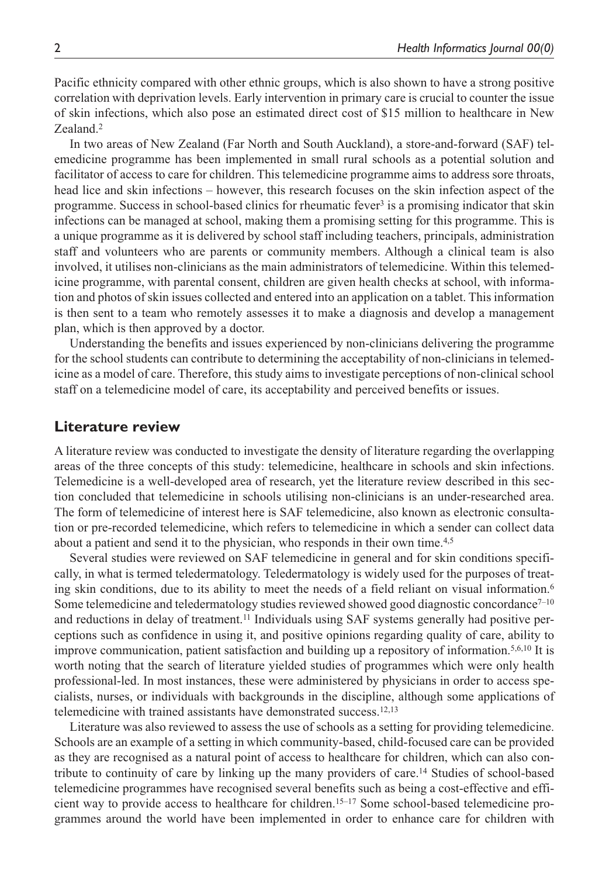Pacific ethnicity compared with other ethnic groups, which is also shown to have a strong positive correlation with deprivation levels. Early intervention in primary care is crucial to counter the issue of skin infections, which also pose an estimated direct cost of \$15 million to healthcare in New Zealand.2

In two areas of New Zealand (Far North and South Auckland), a store-and-forward (SAF) telemedicine programme has been implemented in small rural schools as a potential solution and facilitator of access to care for children. This telemedicine programme aims to address sore throats, head lice and skin infections – however, this research focuses on the skin infection aspect of the programme. Success in school-based clinics for rheumatic fever3 is a promising indicator that skin infections can be managed at school, making them a promising setting for this programme. This is a unique programme as it is delivered by school staff including teachers, principals, administration staff and volunteers who are parents or community members. Although a clinical team is also involved, it utilises non-clinicians as the main administrators of telemedicine. Within this telemedicine programme, with parental consent, children are given health checks at school, with information and photos of skin issues collected and entered into an application on a tablet. This information is then sent to a team who remotely assesses it to make a diagnosis and develop a management plan, which is then approved by a doctor.

Understanding the benefits and issues experienced by non-clinicians delivering the programme for the school students can contribute to determining the acceptability of non-clinicians in telemedicine as a model of care. Therefore, this study aims to investigate perceptions of non-clinical school staff on a telemedicine model of care, its acceptability and perceived benefits or issues.

# **Literature review**

A literature review was conducted to investigate the density of literature regarding the overlapping areas of the three concepts of this study: telemedicine, healthcare in schools and skin infections. Telemedicine is a well-developed area of research, yet the literature review described in this section concluded that telemedicine in schools utilising non-clinicians is an under-researched area. The form of telemedicine of interest here is SAF telemedicine, also known as electronic consultation or pre-recorded telemedicine, which refers to telemedicine in which a sender can collect data about a patient and send it to the physician, who responds in their own time.<sup>4,5</sup>

Several studies were reviewed on SAF telemedicine in general and for skin conditions specifically, in what is termed teledermatology. Teledermatology is widely used for the purposes of treating skin conditions, due to its ability to meet the needs of a field reliant on visual information.<sup>6</sup> Some telemedicine and teledermatology studies reviewed showed good diagnostic concordance $7^{-10}$ and reductions in delay of treatment.11 Individuals using SAF systems generally had positive perceptions such as confidence in using it, and positive opinions regarding quality of care, ability to improve communication, patient satisfaction and building up a repository of information.<sup>5,6,10</sup> It is worth noting that the search of literature yielded studies of programmes which were only health professional-led. In most instances, these were administered by physicians in order to access specialists, nurses, or individuals with backgrounds in the discipline, although some applications of telemedicine with trained assistants have demonstrated success.<sup>12,13</sup>

Literature was also reviewed to assess the use of schools as a setting for providing telemedicine. Schools are an example of a setting in which community-based, child-focused care can be provided as they are recognised as a natural point of access to healthcare for children, which can also contribute to continuity of care by linking up the many providers of care.14 Studies of school-based telemedicine programmes have recognised several benefits such as being a cost-effective and efficient way to provide access to healthcare for children.15–17 Some school-based telemedicine programmes around the world have been implemented in order to enhance care for children with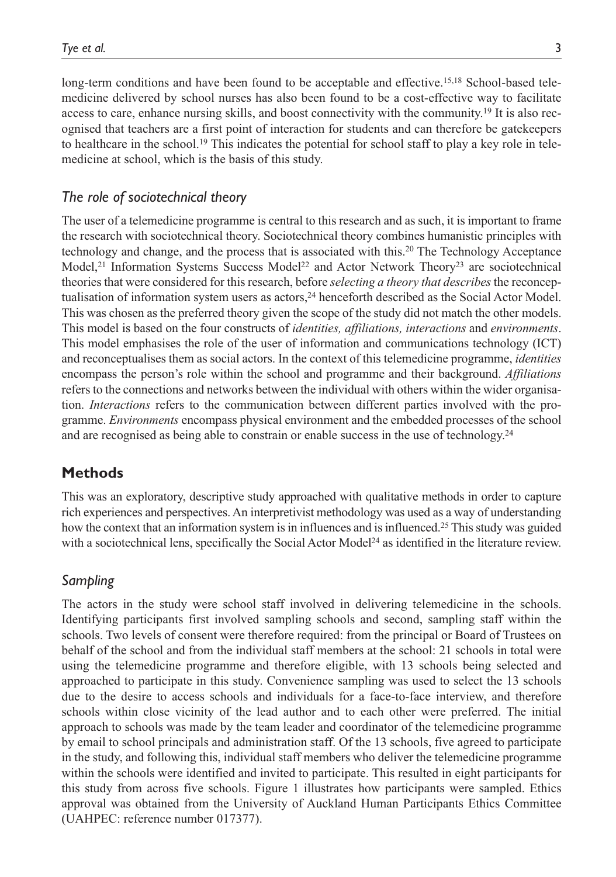long-term conditions and have been found to be acceptable and effective.15,18 School-based telemedicine delivered by school nurses has also been found to be a cost-effective way to facilitate access to care, enhance nursing skills, and boost connectivity with the community.19 It is also recognised that teachers are a first point of interaction for students and can therefore be gatekeepers to healthcare in the school.<sup>19</sup> This indicates the potential for school staff to play a key role in telemedicine at school, which is the basis of this study.

## *The role of sociotechnical theory*

The user of a telemedicine programme is central to this research and as such, it is important to frame the research with sociotechnical theory. Sociotechnical theory combines humanistic principles with technology and change, and the process that is associated with this.20 The Technology Acceptance Model,<sup>21</sup> Information Systems Success Model<sup>22</sup> and Actor Network Theory<sup>23</sup> are sociotechnical theories that were considered for this research, before *selecting a theory that describes* the reconceptualisation of information system users as actors,<sup>24</sup> henceforth described as the Social Actor Model. This was chosen as the preferred theory given the scope of the study did not match the other models. This model is based on the four constructs of *identities, affiliations, interactions* and *environments*. This model emphasises the role of the user of information and communications technology (ICT) and reconceptualises them as social actors. In the context of this telemedicine programme, *identities* encompass the person's role within the school and programme and their background. *Affiliations* refers to the connections and networks between the individual with others within the wider organisation. *Interactions* refers to the communication between different parties involved with the programme. *Environments* encompass physical environment and the embedded processes of the school and are recognised as being able to constrain or enable success in the use of technology.24

# **Methods**

This was an exploratory, descriptive study approached with qualitative methods in order to capture rich experiences and perspectives. An interpretivist methodology was used as a way of understanding how the context that an information system is in influences and is influenced.25 This study was guided with a sociotechnical lens, specifically the Social Actor Model<sup>24</sup> as identified in the literature review.

## *Sampling*

The actors in the study were school staff involved in delivering telemedicine in the schools. Identifying participants first involved sampling schools and second, sampling staff within the schools. Two levels of consent were therefore required: from the principal or Board of Trustees on behalf of the school and from the individual staff members at the school: 21 schools in total were using the telemedicine programme and therefore eligible, with 13 schools being selected and approached to participate in this study. Convenience sampling was used to select the 13 schools due to the desire to access schools and individuals for a face-to-face interview, and therefore schools within close vicinity of the lead author and to each other were preferred. The initial approach to schools was made by the team leader and coordinator of the telemedicine programme by email to school principals and administration staff. Of the 13 schools, five agreed to participate in the study, and following this, individual staff members who deliver the telemedicine programme within the schools were identified and invited to participate. This resulted in eight participants for this study from across five schools. Figure 1 illustrates how participants were sampled. Ethics approval was obtained from the University of Auckland Human Participants Ethics Committee (UAHPEC: reference number 017377).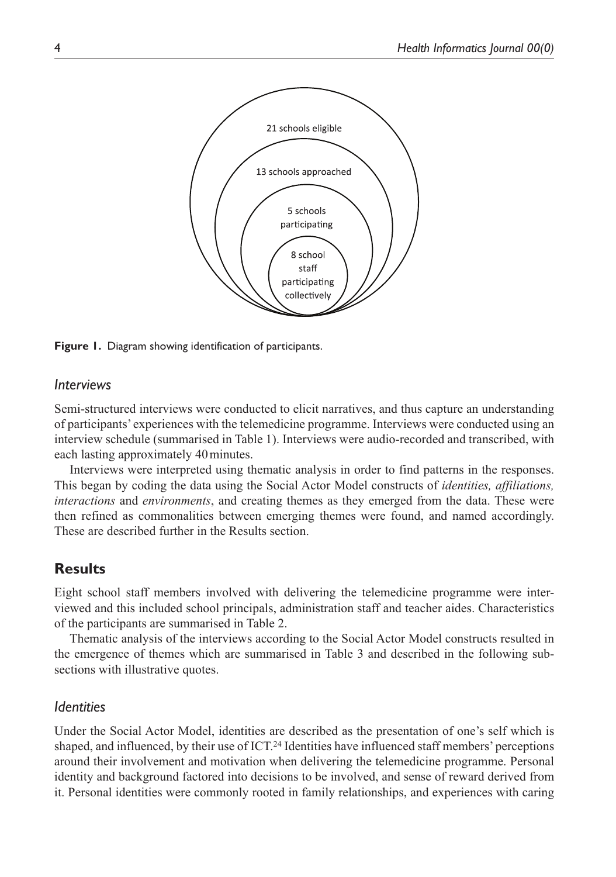

**Figure 1.** Diagram showing identification of participants.

# *Interviews*

Semi-structured interviews were conducted to elicit narratives, and thus capture an understanding of participants' experiences with the telemedicine programme. Interviews were conducted using an interview schedule (summarised in Table 1). Interviews were audio-recorded and transcribed, with each lasting approximately 40minutes.

Interviews were interpreted using thematic analysis in order to find patterns in the responses. This began by coding the data using the Social Actor Model constructs of *identities, affiliations, interactions* and *environments*, and creating themes as they emerged from the data. These were then refined as commonalities between emerging themes were found, and named accordingly. These are described further in the Results section.

# **Results**

Eight school staff members involved with delivering the telemedicine programme were interviewed and this included school principals, administration staff and teacher aides. Characteristics of the participants are summarised in Table 2.

Thematic analysis of the interviews according to the Social Actor Model constructs resulted in the emergence of themes which are summarised in Table 3 and described in the following subsections with illustrative quotes.

# *Identities*

Under the Social Actor Model, identities are described as the presentation of one's self which is shaped, and influenced, by their use of ICT.24 Identities have influenced staff members' perceptions around their involvement and motivation when delivering the telemedicine programme. Personal identity and background factored into decisions to be involved, and sense of reward derived from it. Personal identities were commonly rooted in family relationships, and experiences with caring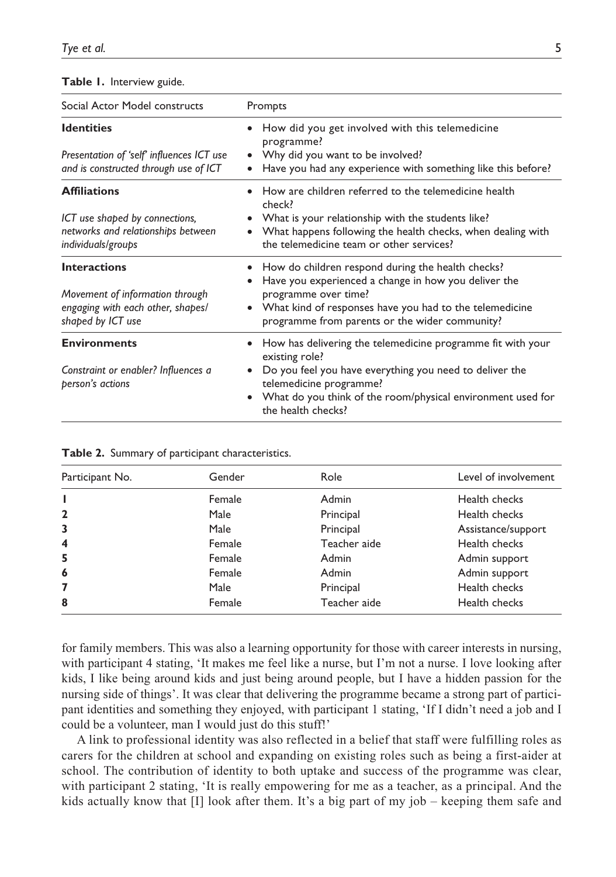|  |  | Table 1. Interview guide. |  |
|--|--|---------------------------|--|
|--|--|---------------------------|--|

| Social Actor Model constructs                                                                                     | Prompts                                                                                                                                                                                                                                                                    |  |
|-------------------------------------------------------------------------------------------------------------------|----------------------------------------------------------------------------------------------------------------------------------------------------------------------------------------------------------------------------------------------------------------------------|--|
| <b>Identities</b><br>Presentation of 'self' influences ICT use<br>and is constructed through use of ICT           | How did you get involved with this telemedicine<br>programme?<br>Why did you want to be involved?<br>Have you had any experience with something like this before?<br>٠                                                                                                     |  |
| <b>Affiliations</b><br>ICT use shaped by connections,<br>networks and relationships between<br>individuals/groups | How are children referred to the telemedicine health<br>$\bullet$<br>check?<br>What is your relationship with the students like?<br>$\bullet$<br>What happens following the health checks, when dealing with<br>$\bullet$<br>the telemedicine team or other services?      |  |
| <b>Interactions</b><br>Movement of information through<br>engaging with each other, shapes/<br>shaped by ICT use  | How do children respond during the health checks?<br>Have you experienced a change in how you deliver the<br>programme over time?<br>What kind of responses have you had to the telemedicine<br>$\bullet$<br>programme from parents or the wider community?                |  |
| <b>Environments</b><br>Constraint or enabler? Influences a<br>person's actions                                    | How has delivering the telemedicine programme fit with your<br>$\bullet$<br>existing role?<br>Do you feel you have everything you need to deliver the<br>٠<br>telemedicine programme?<br>What do you think of the room/physical environment used for<br>the health checks? |  |

| Participant No. | Gender | Role         | Level of involvement |
|-----------------|--------|--------------|----------------------|
|                 | Female | Admin        | Health checks        |
|                 | Male   | Principal    | Health checks        |
|                 | Male   | Principal    | Assistance/support   |
| 4               | Female | Teacher aide | Health checks        |
| 5               | Female | Admin        | Admin support        |
| 6               | Female | Admin        | Admin support        |
|                 | Male   | Principal    | Health checks        |
| 8               | Female | Teacher aide | Health checks        |

|  |  |  |  | Table 2. Summary of participant characteristics. |
|--|--|--|--|--------------------------------------------------|
|--|--|--|--|--------------------------------------------------|

for family members. This was also a learning opportunity for those with career interests in nursing, with participant 4 stating, 'It makes me feel like a nurse, but I'm not a nurse. I love looking after kids, I like being around kids and just being around people, but I have a hidden passion for the nursing side of things'. It was clear that delivering the programme became a strong part of participant identities and something they enjoyed, with participant 1 stating, 'If I didn't need a job and I could be a volunteer, man I would just do this stuff!'

A link to professional identity was also reflected in a belief that staff were fulfilling roles as carers for the children at school and expanding on existing roles such as being a first-aider at school. The contribution of identity to both uptake and success of the programme was clear, with participant 2 stating, 'It is really empowering for me as a teacher, as a principal. And the kids actually know that [I] look after them. It's a big part of my job – keeping them safe and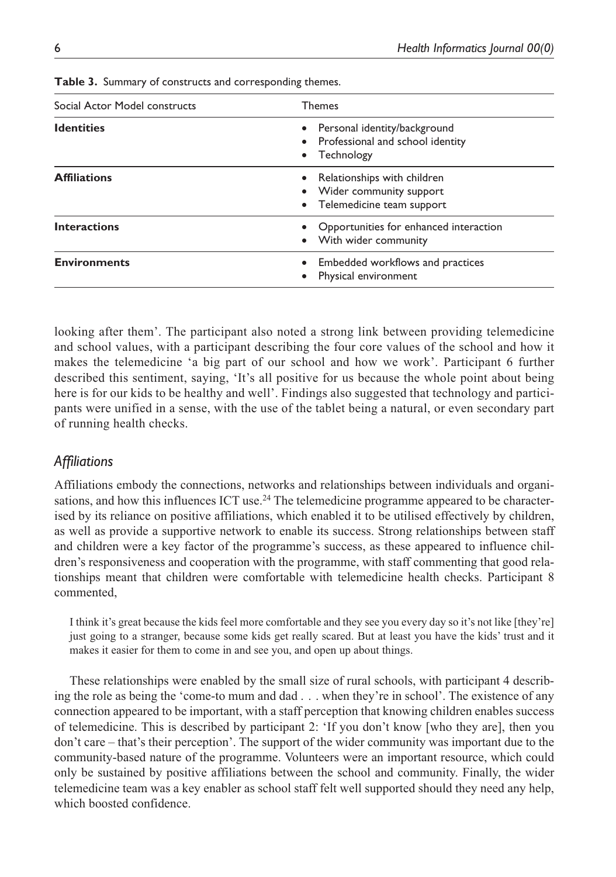| Social Actor Model constructs | <b>Themes</b>                                                                             |  |
|-------------------------------|-------------------------------------------------------------------------------------------|--|
| <b>Identities</b>             | • Personal identity/background<br>• Professional and school identity<br>• Technology      |  |
| <b>Affiliations</b>           | • Relationships with children<br>• Wider community support<br>• Telemedicine team support |  |
| <b>Interactions</b>           | • Opportunities for enhanced interaction<br>• With wider community                        |  |
| <b>Environments</b>           | • Embedded workflows and practices<br>Physical environment                                |  |

**Table 3.** Summary of constructs and corresponding themes.

looking after them'. The participant also noted a strong link between providing telemedicine and school values, with a participant describing the four core values of the school and how it makes the telemedicine 'a big part of our school and how we work'. Participant 6 further described this sentiment, saying, 'It's all positive for us because the whole point about being here is for our kids to be healthy and well'. Findings also suggested that technology and participants were unified in a sense, with the use of the tablet being a natural, or even secondary part of running health checks.

# *Affiliations*

Affiliations embody the connections, networks and relationships between individuals and organisations, and how this influences ICT use.<sup>24</sup> The telemedicine programme appeared to be characterised by its reliance on positive affiliations, which enabled it to be utilised effectively by children, as well as provide a supportive network to enable its success. Strong relationships between staff and children were a key factor of the programme's success, as these appeared to influence children's responsiveness and cooperation with the programme, with staff commenting that good relationships meant that children were comfortable with telemedicine health checks. Participant 8 commented,

I think it's great because the kids feel more comfortable and they see you every day so it's not like [they're] just going to a stranger, because some kids get really scared. But at least you have the kids' trust and it makes it easier for them to come in and see you, and open up about things.

These relationships were enabled by the small size of rural schools, with participant 4 describing the role as being the 'come-to mum and dad . . . when they're in school'. The existence of any connection appeared to be important, with a staff perception that knowing children enables success of telemedicine. This is described by participant 2: 'If you don't know [who they are], then you don't care – that's their perception'. The support of the wider community was important due to the community-based nature of the programme. Volunteers were an important resource, which could only be sustained by positive affiliations between the school and community. Finally, the wider telemedicine team was a key enabler as school staff felt well supported should they need any help, which boosted confidence.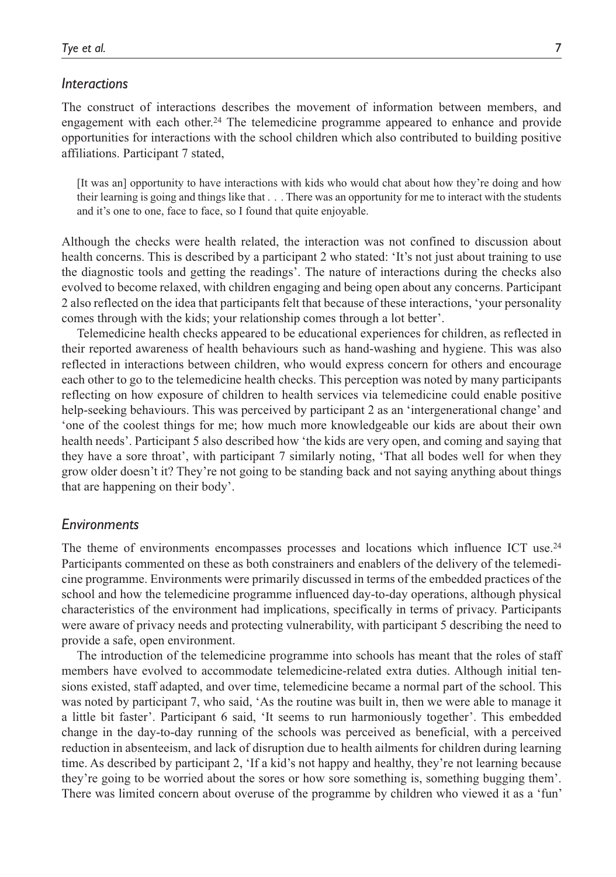#### *Interactions*

The construct of interactions describes the movement of information between members, and engagement with each other.24 The telemedicine programme appeared to enhance and provide opportunities for interactions with the school children which also contributed to building positive affiliations. Participant 7 stated,

[It was an] opportunity to have interactions with kids who would chat about how they're doing and how their learning is going and things like that . . . There was an opportunity for me to interact with the students and it's one to one, face to face, so I found that quite enjoyable.

Although the checks were health related, the interaction was not confined to discussion about health concerns. This is described by a participant 2 who stated: 'It's not just about training to use the diagnostic tools and getting the readings'. The nature of interactions during the checks also evolved to become relaxed, with children engaging and being open about any concerns. Participant 2 also reflected on the idea that participants felt that because of these interactions, 'your personality comes through with the kids; your relationship comes through a lot better'.

Telemedicine health checks appeared to be educational experiences for children, as reflected in their reported awareness of health behaviours such as hand-washing and hygiene. This was also reflected in interactions between children, who would express concern for others and encourage each other to go to the telemedicine health checks. This perception was noted by many participants reflecting on how exposure of children to health services via telemedicine could enable positive help-seeking behaviours. This was perceived by participant 2 as an 'intergenerational change' and 'one of the coolest things for me; how much more knowledgeable our kids are about their own health needs'. Participant 5 also described how 'the kids are very open, and coming and saying that they have a sore throat', with participant 7 similarly noting, 'That all bodes well for when they grow older doesn't it? They're not going to be standing back and not saying anything about things that are happening on their body'.

#### *Environments*

The theme of environments encompasses processes and locations which influence ICT use.<sup>24</sup> Participants commented on these as both constrainers and enablers of the delivery of the telemedicine programme. Environments were primarily discussed in terms of the embedded practices of the school and how the telemedicine programme influenced day-to-day operations, although physical characteristics of the environment had implications, specifically in terms of privacy. Participants were aware of privacy needs and protecting vulnerability, with participant 5 describing the need to provide a safe, open environment.

The introduction of the telemedicine programme into schools has meant that the roles of staff members have evolved to accommodate telemedicine-related extra duties. Although initial tensions existed, staff adapted, and over time, telemedicine became a normal part of the school. This was noted by participant 7, who said, 'As the routine was built in, then we were able to manage it a little bit faster'. Participant 6 said, 'It seems to run harmoniously together'. This embedded change in the day-to-day running of the schools was perceived as beneficial, with a perceived reduction in absenteeism, and lack of disruption due to health ailments for children during learning time. As described by participant 2, 'If a kid's not happy and healthy, they're not learning because they're going to be worried about the sores or how sore something is, something bugging them'. There was limited concern about overuse of the programme by children who viewed it as a 'fun'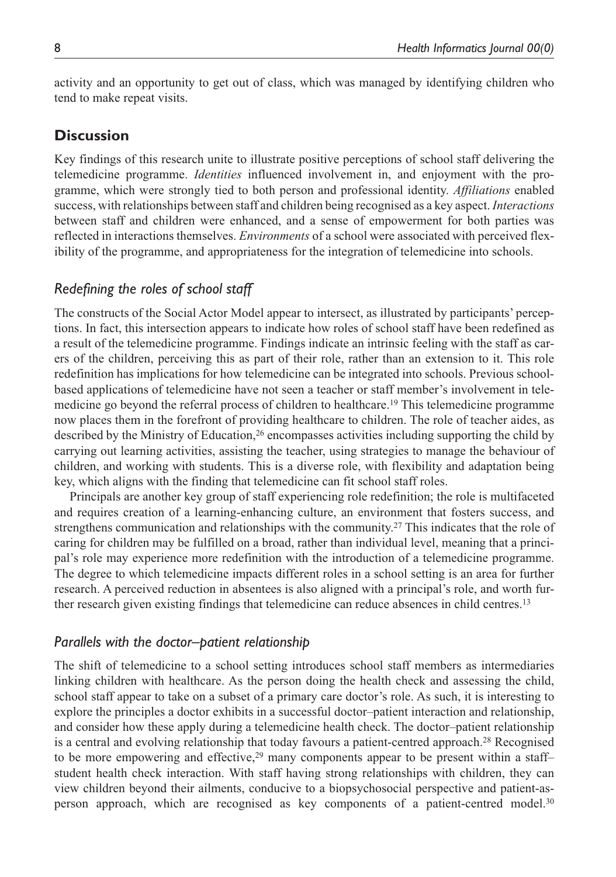activity and an opportunity to get out of class, which was managed by identifying children who tend to make repeat visits.

# **Discussion**

Key findings of this research unite to illustrate positive perceptions of school staff delivering the telemedicine programme. *Identities* influenced involvement in, and enjoyment with the programme, which were strongly tied to both person and professional identity. *Affiliations* enabled success, with relationships between staff and children being recognised as a key aspect. *Interactions* between staff and children were enhanced, and a sense of empowerment for both parties was reflected in interactions themselves. *Environments* of a school were associated with perceived flexibility of the programme, and appropriateness for the integration of telemedicine into schools.

# *Redefining the roles of school staff*

The constructs of the Social Actor Model appear to intersect, as illustrated by participants' perceptions. In fact, this intersection appears to indicate how roles of school staff have been redefined as a result of the telemedicine programme. Findings indicate an intrinsic feeling with the staff as carers of the children, perceiving this as part of their role, rather than an extension to it. This role redefinition has implications for how telemedicine can be integrated into schools. Previous schoolbased applications of telemedicine have not seen a teacher or staff member's involvement in telemedicine go beyond the referral process of children to healthcare.19 This telemedicine programme now places them in the forefront of providing healthcare to children. The role of teacher aides, as described by the Ministry of Education,<sup>26</sup> encompasses activities including supporting the child by carrying out learning activities, assisting the teacher, using strategies to manage the behaviour of children, and working with students. This is a diverse role, with flexibility and adaptation being key, which aligns with the finding that telemedicine can fit school staff roles.

Principals are another key group of staff experiencing role redefinition; the role is multifaceted and requires creation of a learning-enhancing culture, an environment that fosters success, and strengthens communication and relationships with the community.27 This indicates that the role of caring for children may be fulfilled on a broad, rather than individual level, meaning that a principal's role may experience more redefinition with the introduction of a telemedicine programme. The degree to which telemedicine impacts different roles in a school setting is an area for further research. A perceived reduction in absentees is also aligned with a principal's role, and worth further research given existing findings that telemedicine can reduce absences in child centres.13

## *Parallels with the doctor–patient relationship*

The shift of telemedicine to a school setting introduces school staff members as intermediaries linking children with healthcare. As the person doing the health check and assessing the child, school staff appear to take on a subset of a primary care doctor's role. As such, it is interesting to explore the principles a doctor exhibits in a successful doctor–patient interaction and relationship, and consider how these apply during a telemedicine health check. The doctor–patient relationship is a central and evolving relationship that today favours a patient-centred approach.<sup>28</sup> Recognised to be more empowering and effective,<sup>29</sup> many components appear to be present within a staffstudent health check interaction. With staff having strong relationships with children, they can view children beyond their ailments, conducive to a biopsychosocial perspective and patient-asperson approach, which are recognised as key components of a patient-centred model.30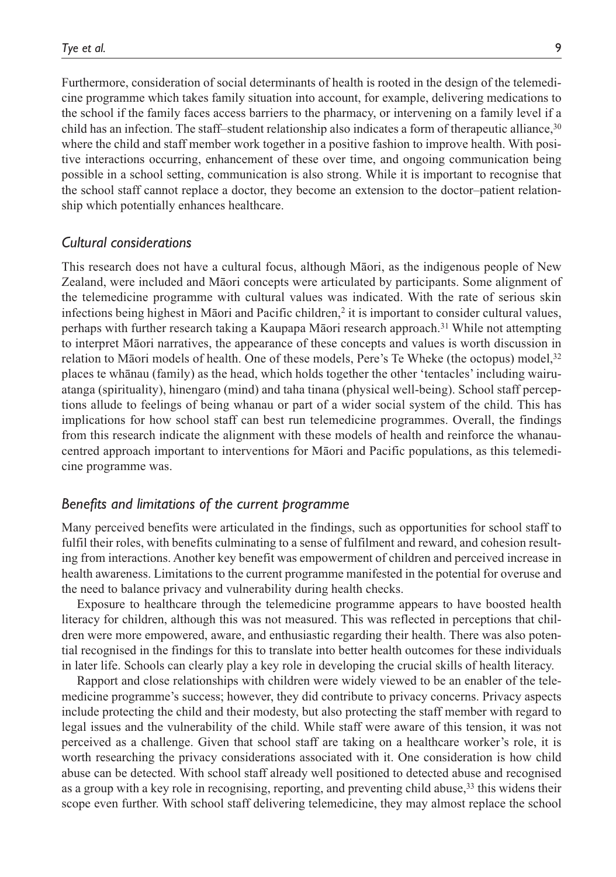Furthermore, consideration of social determinants of health is rooted in the design of the telemedicine programme which takes family situation into account, for example, delivering medications to the school if the family faces access barriers to the pharmacy, or intervening on a family level if a child has an infection. The staff–student relationship also indicates a form of therapeutic alliance,<sup>30</sup> where the child and staff member work together in a positive fashion to improve health. With positive interactions occurring, enhancement of these over time, and ongoing communication being possible in a school setting, communication is also strong. While it is important to recognise that the school staff cannot replace a doctor, they become an extension to the doctor–patient relationship which potentially enhances healthcare.

## *Cultural considerations*

This research does not have a cultural focus, although Māori, as the indigenous people of New Zealand, were included and Māori concepts were articulated by participants. Some alignment of the telemedicine programme with cultural values was indicated. With the rate of serious skin infections being highest in Māori and Pacific children,<sup>2</sup> it is important to consider cultural values, perhaps with further research taking a Kaupapa Māori research approach.31 While not attempting to interpret Māori narratives, the appearance of these concepts and values is worth discussion in relation to Māori models of health. One of these models, Pere's Te Wheke (the octopus) model, $32$ places te whānau (family) as the head, which holds together the other 'tentacles' including wairuatanga (spirituality), hinengaro (mind) and taha tinana (physical well-being). School staff perceptions allude to feelings of being whanau or part of a wider social system of the child. This has implications for how school staff can best run telemedicine programmes. Overall, the findings from this research indicate the alignment with these models of health and reinforce the whanaucentred approach important to interventions for Māori and Pacific populations, as this telemedicine programme was.

# *Benefits and limitations of the current programme*

Many perceived benefits were articulated in the findings, such as opportunities for school staff to fulfil their roles, with benefits culminating to a sense of fulfilment and reward, and cohesion resulting from interactions. Another key benefit was empowerment of children and perceived increase in health awareness. Limitations to the current programme manifested in the potential for overuse and the need to balance privacy and vulnerability during health checks.

Exposure to healthcare through the telemedicine programme appears to have boosted health literacy for children, although this was not measured. This was reflected in perceptions that children were more empowered, aware, and enthusiastic regarding their health. There was also potential recognised in the findings for this to translate into better health outcomes for these individuals in later life. Schools can clearly play a key role in developing the crucial skills of health literacy.

Rapport and close relationships with children were widely viewed to be an enabler of the telemedicine programme's success; however, they did contribute to privacy concerns. Privacy aspects include protecting the child and their modesty, but also protecting the staff member with regard to legal issues and the vulnerability of the child. While staff were aware of this tension, it was not perceived as a challenge. Given that school staff are taking on a healthcare worker's role, it is worth researching the privacy considerations associated with it. One consideration is how child abuse can be detected. With school staff already well positioned to detected abuse and recognised as a group with a key role in recognising, reporting, and preventing child abuse,<sup>33</sup> this widens their scope even further. With school staff delivering telemedicine, they may almost replace the school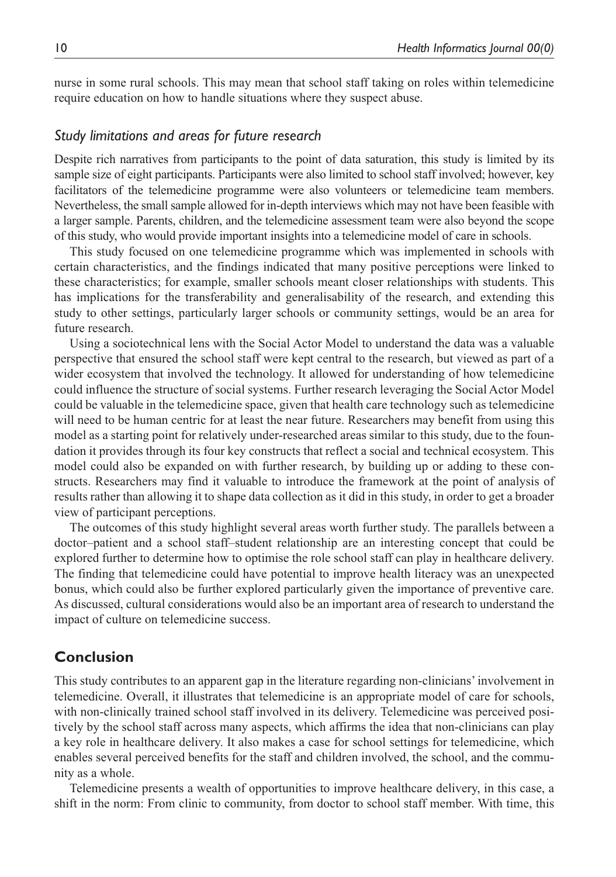nurse in some rural schools. This may mean that school staff taking on roles within telemedicine require education on how to handle situations where they suspect abuse.

#### *Study limitations and areas for future research*

Despite rich narratives from participants to the point of data saturation, this study is limited by its sample size of eight participants. Participants were also limited to school staff involved; however, key facilitators of the telemedicine programme were also volunteers or telemedicine team members. Nevertheless, the small sample allowed for in-depth interviews which may not have been feasible with a larger sample. Parents, children, and the telemedicine assessment team were also beyond the scope of this study, who would provide important insights into a telemedicine model of care in schools.

This study focused on one telemedicine programme which was implemented in schools with certain characteristics, and the findings indicated that many positive perceptions were linked to these characteristics; for example, smaller schools meant closer relationships with students. This has implications for the transferability and generalisability of the research, and extending this study to other settings, particularly larger schools or community settings, would be an area for future research.

Using a sociotechnical lens with the Social Actor Model to understand the data was a valuable perspective that ensured the school staff were kept central to the research, but viewed as part of a wider ecosystem that involved the technology. It allowed for understanding of how telemedicine could influence the structure of social systems. Further research leveraging the Social Actor Model could be valuable in the telemedicine space, given that health care technology such as telemedicine will need to be human centric for at least the near future. Researchers may benefit from using this model as a starting point for relatively under-researched areas similar to this study, due to the foundation it provides through its four key constructs that reflect a social and technical ecosystem. This model could also be expanded on with further research, by building up or adding to these constructs. Researchers may find it valuable to introduce the framework at the point of analysis of results rather than allowing it to shape data collection as it did in this study, in order to get a broader view of participant perceptions.

The outcomes of this study highlight several areas worth further study. The parallels between a doctor–patient and a school staff–student relationship are an interesting concept that could be explored further to determine how to optimise the role school staff can play in healthcare delivery. The finding that telemedicine could have potential to improve health literacy was an unexpected bonus, which could also be further explored particularly given the importance of preventive care. As discussed, cultural considerations would also be an important area of research to understand the impact of culture on telemedicine success.

# **Conclusion**

This study contributes to an apparent gap in the literature regarding non-clinicians' involvement in telemedicine. Overall, it illustrates that telemedicine is an appropriate model of care for schools, with non-clinically trained school staff involved in its delivery. Telemedicine was perceived positively by the school staff across many aspects, which affirms the idea that non-clinicians can play a key role in healthcare delivery. It also makes a case for school settings for telemedicine, which enables several perceived benefits for the staff and children involved, the school, and the community as a whole.

Telemedicine presents a wealth of opportunities to improve healthcare delivery, in this case, a shift in the norm: From clinic to community, from doctor to school staff member. With time, this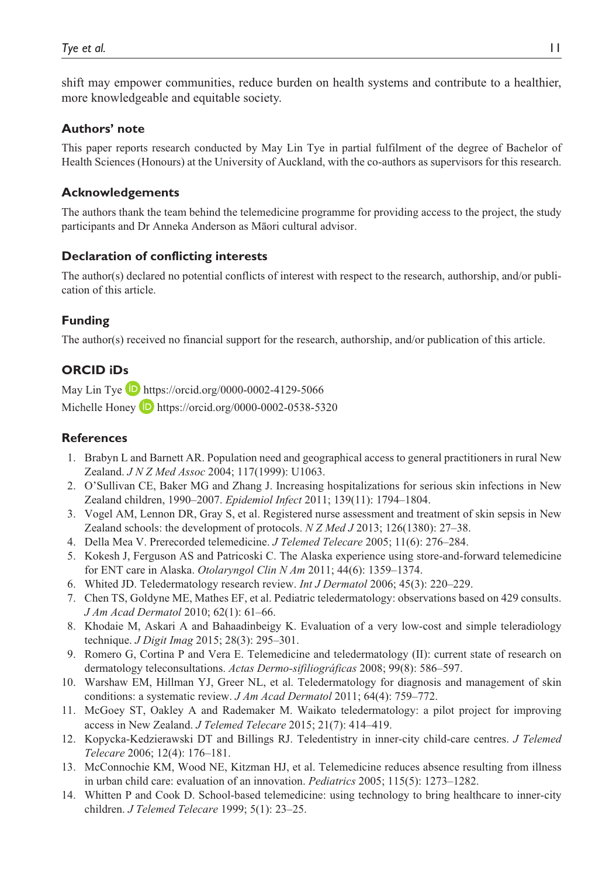shift may empower communities, reduce burden on health systems and contribute to a healthier, more knowledgeable and equitable society.

## **Authors' note**

This paper reports research conducted by May Lin Tye in partial fulfilment of the degree of Bachelor of Health Sciences (Honours) at the University of Auckland, with the co-authors as supervisors for this research.

## **Acknowledgements**

The authors thank the team behind the telemedicine programme for providing access to the project, the study participants and Dr Anneka Anderson as Māori cultural advisor.

## **Declaration of conflicting interests**

The author(s) declared no potential conflicts of interest with respect to the research, authorship, and/or publication of this article.

# **Funding**

The author(s) received no financial support for the research, authorship, and/or publication of this article.

# **ORCID iDs**

May Lin Tye **D** <https://orcid.org/0000-0002-4129-5066> Michelle Honey  $\Box$  <https://orcid.org/0000-0002-0538-5320>

# **References**

- 1. Brabyn L and Barnett AR. Population need and geographical access to general practitioners in rural New Zealand. *J N Z Med Assoc* 2004; 117(1999): U1063.
- 2. O'Sullivan CE, Baker MG and Zhang J. Increasing hospitalizations for serious skin infections in New Zealand children, 1990–2007. *Epidemiol Infect* 2011; 139(11): 1794–1804.
- 3. Vogel AM, Lennon DR, Gray S, et al. Registered nurse assessment and treatment of skin sepsis in New Zealand schools: the development of protocols. *N Z Med J* 2013; 126(1380): 27–38.
- 4. Della Mea V. Prerecorded telemedicine. *J Telemed Telecare* 2005; 11(6): 276–284.
- 5. Kokesh J, Ferguson AS and Patricoski C. The Alaska experience using store-and-forward telemedicine for ENT care in Alaska. *Otolaryngol Clin N Am* 2011; 44(6): 1359–1374.
- 6. Whited JD. Teledermatology research review. *Int J Dermatol* 2006; 45(3): 220–229.
- 7. Chen TS, Goldyne ME, Mathes EF, et al. Pediatric teledermatology: observations based on 429 consults. *J Am Acad Dermatol* 2010; 62(1): 61–66.
- 8. Khodaie M, Askari A and Bahaadinbeigy K. Evaluation of a very low-cost and simple teleradiology technique. *J Digit Imag* 2015; 28(3): 295–301.
- 9. Romero G, Cortina P and Vera E. Telemedicine and teledermatology (II): current state of research on dermatology teleconsultations. *Actas Dermo-sifiliográficas* 2008; 99(8): 586–597.
- 10. Warshaw EM, Hillman YJ, Greer NL, et al. Teledermatology for diagnosis and management of skin conditions: a systematic review. *J Am Acad Dermatol* 2011; 64(4): 759–772.
- 11. McGoey ST, Oakley A and Rademaker M. Waikato teledermatology: a pilot project for improving access in New Zealand. *J Telemed Telecare* 2015; 21(7): 414–419.
- 12. Kopycka-Kedzierawski DT and Billings RJ. Teledentistry in inner-city child-care centres. *J Telemed Telecare* 2006; 12(4): 176–181.
- 13. McConnochie KM, Wood NE, Kitzman HJ, et al. Telemedicine reduces absence resulting from illness in urban child care: evaluation of an innovation. *Pediatrics* 2005; 115(5): 1273–1282.
- 14. Whitten P and Cook D. School-based telemedicine: using technology to bring healthcare to inner-city children. *J Telemed Telecare* 1999; 5(1): 23–25.